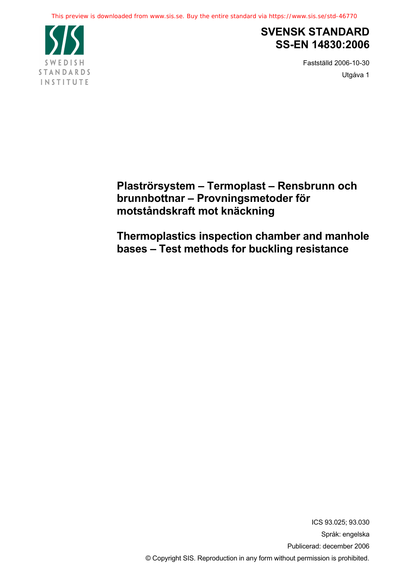

# **SVENSK STANDARD SS-EN 14830:2006**

Fastställd 2006-10-30 Utgåva 1

**Plaströrsystem – Termoplast – Rensbrunn och brunnbottnar – Provningsmetoder för motståndskraft mot knäckning**

**Thermoplastics inspection chamber and manhole bases – Test methods for buckling resistance**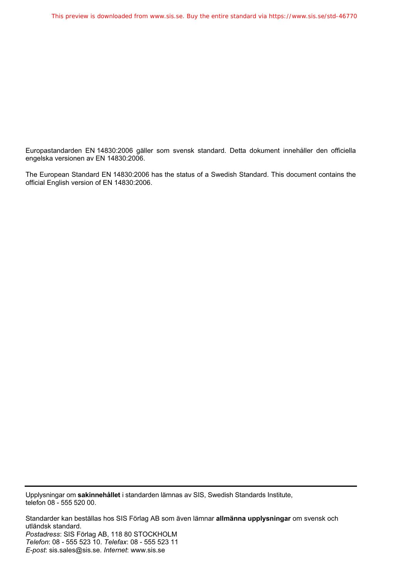Europastandarden EN 14830:2006 gäller som svensk standard. Detta dokument innehåller den officiella engelska versionen av EN 14830:2006.

The European Standard EN 14830:2006 has the status of a Swedish Standard. This document contains the official English version of EN 14830:2006.

Upplysningar om **sakinnehållet** i standarden lämnas av SIS, Swedish Standards Institute, telefon 08 - 555 520 00.

Standarder kan beställas hos SIS Förlag AB som även lämnar **allmänna upplysningar** om svensk och utländsk standard. *Postadress*: SIS Förlag AB, 118 80 STOCKHOLM *Telefon*: 08 - 555 523 10. *Telefax*: 08 - 555 523 11 *E-post*: sis.sales@sis.se. *Internet*: www.sis.se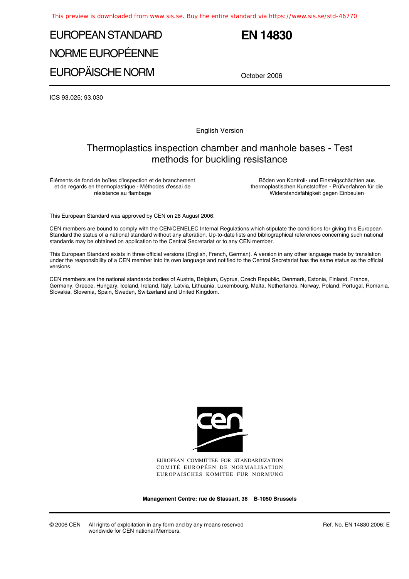# EUROPEAN STANDARD NORME EUROPÉENNE EUROPÄISCHE NORM

# **EN 14830**

October 2006

ICS 93.025; 93.030

English Version

## Thermoplastics inspection chamber and manhole bases - Test methods for buckling resistance

Éléments de fond de boîtes d'inspection et de branchement et de regards en thermoplastique - Méthodes d'essai de résistance au flambage

Böden von Kontroll- und Einsteigschächten aus thermoplastischen Kunststoffen - Prüfverfahren für die Widerstandsfähigkeit gegen Einbeulen

This European Standard was approved by CEN on 28 August 2006.

CEN members are bound to comply with the CEN/CENELEC Internal Regulations which stipulate the conditions for giving this European Standard the status of a national standard without any alteration. Up-to-date lists and bibliographical references concerning such national standards may be obtained on application to the Central Secretariat or to any CEN member.

This European Standard exists in three official versions (English, French, German). A version in any other language made by translation under the responsibility of a CEN member into its own language and notified to the Central Secretariat has the same status as the official versions.

CEN members are the national standards bodies of Austria, Belgium, Cyprus, Czech Republic, Denmark, Estonia, Finland, France, Germany, Greece, Hungary, Iceland, Ireland, Italy, Latvia, Lithuania, Luxembourg, Malta, Netherlands, Norway, Poland, Portugal, Romania, Slovakia, Slovenia, Spain, Sweden, Switzerland and United Kingdom.



EUROPEAN COMMITTEE FOR STANDARDIZATION COMITÉ EUROPÉEN DE NORMALISATION EUROPÄISCHES KOMITEE FÜR NORMUNG

**Management Centre: rue de Stassart, 36 B-1050 Brussels**

© 2006 CEN All rights of exploitation in any form and by any means reserved worldwide for CEN national Members.

Ref. No. EN 14830:2006: E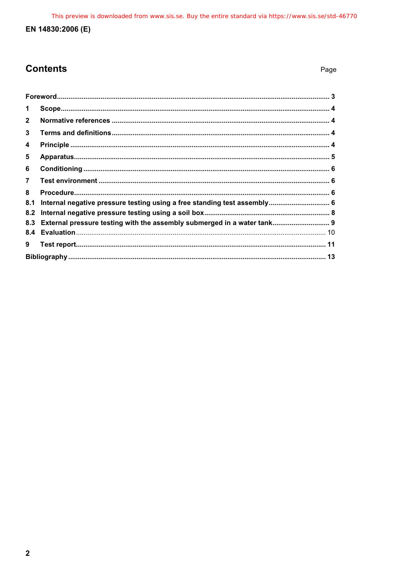## EN 14830:2006 (E)

## **Contents**

| 1              |                                                                             |  |
|----------------|-----------------------------------------------------------------------------|--|
| $\mathbf{2}$   |                                                                             |  |
| 3              |                                                                             |  |
| 4              |                                                                             |  |
| 5              |                                                                             |  |
| 6              |                                                                             |  |
| $\overline{7}$ |                                                                             |  |
| 8              |                                                                             |  |
| 8.1            | Internal negative pressure testing using a free standing test assembly 6    |  |
|                |                                                                             |  |
|                | 8.3 External pressure testing with the assembly submerged in a water tank 9 |  |
|                |                                                                             |  |
| 9              |                                                                             |  |
|                |                                                                             |  |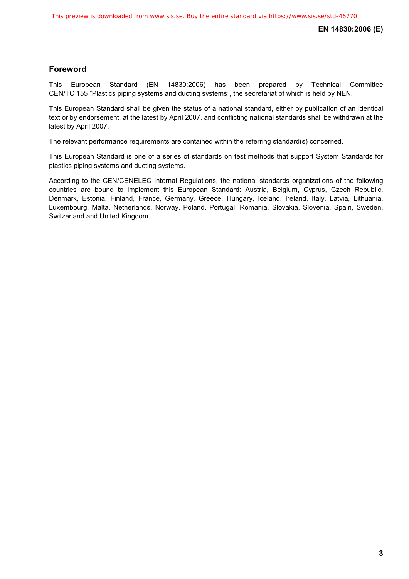## **Foreword**

This European Standard (EN 14830:2006) has been prepared by Technical Committee CEN/TC 155 "Plastics piping systems and ducting systems", the secretariat of which is held by NEN.

This European Standard shall be given the status of a national standard, either by publication of an identical text or by endorsement, at the latest by April 2007, and conflicting national standards shall be withdrawn at the latest by April 2007.

The relevant performance requirements are contained within the referring standard(s) concerned.

This European Standard is one of a series of standards on test methods that support System Standards for plastics piping systems and ducting systems.

According to the CEN/CENELEC Internal Regulations, the national standards organizations of the following countries are bound to implement this European Standard: Austria, Belgium, Cyprus, Czech Republic, Denmark, Estonia, Finland, France, Germany, Greece, Hungary, Iceland, Ireland, Italy, Latvia, Lithuania, Luxembourg, Malta, Netherlands, Norway, Poland, Portugal, Romania, Slovakia, Slovenia, Spain, Sweden, Switzerland and United Kingdom.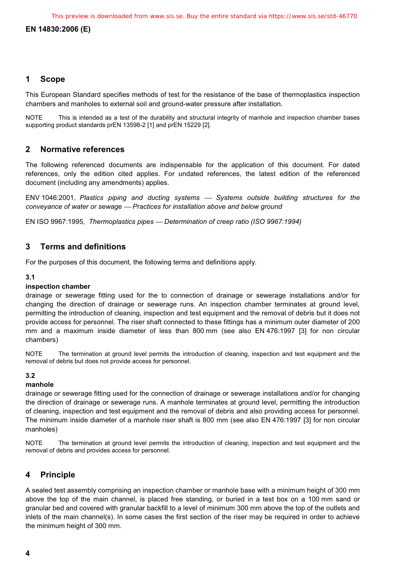## **EN 14830:2006 (E)**

## **1 Scope**

This European Standard specifies methods of test for the resistance of the base of thermoplastics inspection chambers and manholes to external soil and ground-water pressure after installation.

NOTE This is intended as a test of the durability and structural integrity of manhole and inspection chamber bases supporting product standards prEN 13598-2 [1] and prEN 15229 [2].

## **2 Normative references**

The following referenced documents are indispensable for the application of this document. For dated references, only the edition cited applies. For undated references, the latest edition of the referenced document (including any amendments) applies.

ENV 1046:2001, Plastics piping and ducting systems  $-$  Systems outside building structures for the *conveyance of water or sewage* ⎯ *Practices for installation above and below ground*

EN ISO 9967:1995*, Thermoplastics pipes* ⎯ *Determination of creep ratio (ISO 9967:1994)* 

## **3 Terms and definitions**

For the purposes of this document, the following terms and definitions apply.

#### **3.1**

#### **inspection chamber**

drainage or sewerage fitting used for the to connection of drainage or sewerage installations and/or for changing the direction of drainage or sewerage runs. An inspection chamber terminates at ground level, permitting the introduction of cleaning, inspection and test equipment and the removal of debris but it does not provide access for personnel. The riser shaft connected to these fittings has a minimum outer diameter of 200 mm and a maximum inside diameter of less than 800 mm (see also EN 476:1997 [3] for non circular chambers)

NOTE The termination at ground level permits the introduction of cleaning, inspection and test equipment and the removal of debris but does not provide access for personnel.

### **3.2**

#### **manhole**

drainage or sewerage fitting used for the connection of drainage or sewerage installations and/or for changing the direction of drainage or sewerage runs. A manhole terminates at ground level, permitting the introduction of cleaning, inspection and test equipment and the removal of debris and also providing access for personnel. The minimum inside diameter of a manhole riser shaft is 800 mm (see also EN 476:1997 [3] for non circular manholes)

NOTE The termination at ground level permits the introduction of cleaning, inspection and test equipment and the removal of debris and provides access for personnel.

## **4 Principle**

A sealed test assembly comprising an inspection chamber or manhole base with a minimum height of 300 mm above the top of the main channel, is placed free standing, or buried in a test box on a 100 mm sand or granular bed and covered with granular backfill to a level of minimum 300 mm above the top of the outlets and inlets of the main channel(s). In some cases the first section of the riser may be required in order to achieve the minimum height of 300 mm.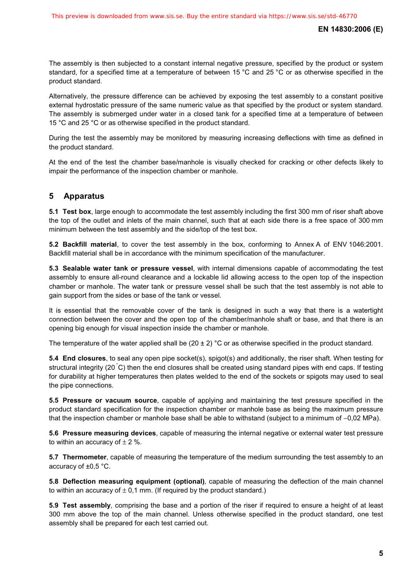The assembly is then subjected to a constant internal negative pressure, specified by the product or system standard, for a specified time at a temperature of between 15 °C and 25 °C or as otherwise specified in the product standard.

Alternatively, the pressure difference can be achieved by exposing the test assembly to a constant positive external hydrostatic pressure of the same numeric value as that specified by the product or system standard. The assembly is submerged under water in a closed tank for a specified time at a temperature of between 15 °C and 25 °C or as otherwise specified in the product standard.

During the test the assembly may be monitored by measuring increasing deflections with time as defined in the product standard.

At the end of the test the chamber base/manhole is visually checked for cracking or other defects likely to impair the performance of the inspection chamber or manhole.

## **5 Apparatus**

**5.1 Test box**, large enough to accommodate the test assembly including the first 300 mm of riser shaft above the top of the outlet and inlets of the main channel, such that at each side there is a free space of 300 mm minimum between the test assembly and the side/top of the test box.

**5.2 Backfill material**, to cover the test assembly in the box, conforming to Annex A of ENV 1046:2001. Backfill material shall be in accordance with the minimum specification of the manufacturer.

**5.3 Sealable water tank or pressure vessel**, with internal dimensions capable of accommodating the test assembly to ensure all-round clearance and a lockable lid allowing access to the open top of the inspection chamber or manhole. The water tank or pressure vessel shall be such that the test assembly is not able to gain support from the sides or base of the tank or vessel.

It is essential that the removable cover of the tank is designed in such a way that there is a watertight connection between the cover and the open top of the chamber/manhole shaft or base, and that there is an opening big enough for visual inspection inside the chamber or manhole.

The temperature of the water applied shall be  $(20 \pm 2)$  °C or as otherwise specified in the product standard.

**5.4 End closures**, to seal any open pipe socket(s), spigot(s) and additionally, the riser shaft. When testing for structural integrity (20 °C) then the end closures shall be created using standard pipes with end caps. If testing for durability at higher temperatures then plates welded to the end of the sockets or spigots may used to seal the pipe connections.

**5.5 Pressure or vacuum source**, capable of applying and maintaining the test pressure specified in the product standard specification for the inspection chamber or manhole base as being the maximum pressure that the inspection chamber or manhole base shall be able to withstand (subject to a minimum of −0,02 MPa).

**5.6 Pressure measuring devices**, capable of measuring the internal negative or external water test pressure to within an accuracy of  $\pm 2$  %.

**5.7 Thermometer**, capable of measuring the temperature of the medium surrounding the test assembly to an accuracy of ±0,5 °C.

**5.8 Deflection measuring equipment (optional)***,* capable of measuring the deflection of the main channel to within an accuracy of  $\pm$  0,1 mm. (If required by the product standard.)

**5.9 Test assembly***,* comprising the base and a portion of the riser if required to ensure a height of at least 300 mm above the top of the main channel. Unless otherwise specified in the product standard, one test assembly shall be prepared for each test carried out.